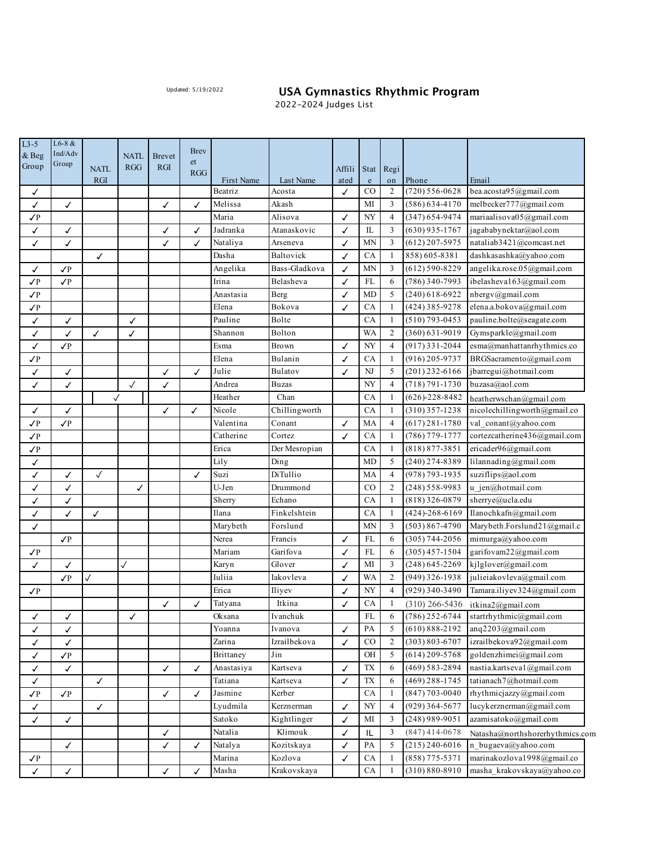## Updated: 5/19/2022 **USA Gymnastics Rhythmic Program**

m

2022-2024 Judges List

| $L3-5$       | $L6-8 &$         |              |              |               | <b>Brev</b>  |            |               |              |                                   |                |                      |                                          |
|--------------|------------------|--------------|--------------|---------------|--------------|------------|---------------|--------------|-----------------------------------|----------------|----------------------|------------------------------------------|
| & Beg        | Ind/Adv<br>Group |              | <b>NATL</b>  | <b>Brevet</b> | et           |            |               |              |                                   |                |                      |                                          |
| Group        |                  | <b>NATL</b>  | <b>RGG</b>   | <b>RGI</b>    | <b>RGG</b>   |            |               | Affili       | Stat                              | Regi           |                      |                                          |
|              |                  | <b>RGI</b>   |              |               |              | First Name | Last Name     | ated         | $\mathbf{e}% _{t}\left( t\right)$ | on             | Phone                | Email                                    |
| ✓            |                  |              |              |               |              | Beatriz    | Acosta        | ✓            | $_{\rm CO}$                       | 2              | (720) 556-0628       | bea.acosta95@gmail.com                   |
| ✓            | ✓                |              |              | ✓             | ✓            | Melissa    | Akash         |              | МI                                | 3              | $(586) 634 - 4170$   | melbecker777@gmail.com                   |
| $\sqrt{P}$   |                  |              |              |               |              | Maria      | Alisova       | ✓            | NY                                | $\overline{4}$ | (347) 654-9474       | mariaalisova05@gmail.com                 |
| ✓            | ✓                |              |              | ✓             | ✓            | Jadranka   | Atanaskovic   | ✓            | IL                                | 3              | (630) 935-1767       | jagababynektar@aol.com                   |
| ✓            | ✓                |              |              | ✓             | ✓            | Nataliya   | Arseneva      | ✓            | MN                                | 3              | (612) 207-5975       | nataliab3421@comcast.net                 |
|              |                  | ✓            |              |               |              | Dasha      | Baltovick     | ✓            | CA                                | 1              | 858) 605-8381        | dashkasashka@yahoo.com                   |
| ✓            | $\sqrt{P}$       |              |              |               |              | Angelika   | Bass-Gladkova | ✓            | MN                                | 3              | (612) 590-8229       | angelika.rose.05@gmail.com               |
| $\sqrt{P}$   | $\sqrt{P}$       |              |              |               |              | Irina      | Belasheva     | ✓            | FL                                | 6              | (786) 340-7993       | ibelasheva163@gmail.com                  |
| $\sqrt{P}$   |                  |              |              |               |              | Anastasia  | Berg          | ✓            | MD                                | 5              | (240) 618-6922       | nbergv@gmail.com                         |
| $\sqrt{P}$   |                  |              |              |               |              | Elena      | Bokova        | ✓            | CA                                | $\mathbf{1}$   | (424) 385-9278       | elena.a.bokova@gmail.com                 |
| ✓            | ✓                |              | ✓            |               |              | Pauline    | Bolte         |              | CA                                | $\mathbf{1}$   | $(510)$ 793-0453     | pauline.bolte@seagate.com                |
| ✓            | ✓                | ✓            | ✓            |               |              | Shannon    | Bolton        |              | <b>WA</b>                         | $\overline{2}$ | (360) 631-9019       | Gymsparkle@gmail.com                     |
| ✓            | $\mathcal{P}$    |              |              |               |              | Esma       | Brown         | ✓            | NY                                | 4              | (917) 331-2044       | esma@manhattanrhythmics.co               |
| $\sqrt{P}$   |                  |              |              |               |              | Elena      | Bulanin       | ✓            | CA                                | $\mathbf{1}$   | (916) 205-9737       | BRGSacramento@gmail.com                  |
| ✓            | √                |              |              | ✓             | ✓            | Julie      | Bulatov       | ✓            | NJ                                | 5              | $(201)$ 232-6166     | jbarregui@hotmail.com                    |
| ✓            | ✓                |              | $\checkmark$ | ✓             |              | Andrea     | <b>Buzas</b>  |              | NY                                | 4              | (718) 791-1730       | buzasa@aol.com                           |
|              |                  | √            |              |               |              | Heather    | Chan          |              | CA                                | $\mathbf{1}$   | $(626)-228-8482$     | heatherwschan@gmail.com                  |
| ✓            | ✓                |              |              | ✓             | ✓            | Nicole     | Chillingworth |              | CA                                | $\mathbf{1}$   | $(310)$ 357-1238     | nicolechillingworth@gmail.co             |
| $\sqrt{P}$   | $\mathcal{P}$    |              |              |               |              | Valentina  | Conant        | $\checkmark$ | MA                                | 4              | $(617)$ 281-1780     | val_conant@yahoo.com                     |
| $\sqrt{P}$   |                  |              |              |               |              | Catherine  | Cortez        | $\checkmark$ | CA                                | 1              | $(786)$ 779-1777     | cortezcatherine436@gmail.com             |
| $\sqrt{P}$   |                  |              |              |               |              | Erica      | Der Mesropian |              | CA                                | $\mathbf{1}$   | $(818) 877 - 3851$   | ericader96@gmail.com                     |
| ✓            |                  |              |              |               |              | Lily       | Ding          |              | MD                                | 5              | $(240)$ 274-8389     | lilannading@gmail.com                    |
| ✓            | ✓                | $\checkmark$ |              |               | $\checkmark$ | Suzi       | DiTullio      |              | MA                                | 4              | $(978) 793 - 1935$   | suziflips@aol.com                        |
| ✓            | ✓                |              | ✓            |               |              | U-Jen      | Drummond      |              | CO                                | $\mathfrak{2}$ | $(248)$ 558-9983     | u_jen@hotmail.com                        |
| ✓            | ✓                |              |              |               |              | Sherry     | Echano        |              | CA                                | $\mathbf{1}$   | $(818)$ 326-0879     | sherrye@ucla.edu                         |
| ✓            | ✓                | $\checkmark$ |              |               |              | Ilana      | Finkelshtein  |              | CA                                | $\mathbf{1}$   | $(424) - 268 - 6169$ | Ilanochkafn@gmail.com                    |
| ✓            |                  |              |              |               |              | Marybeth   | Forslund      |              | <b>MN</b>                         | 3              | $(503) 867 - 4790$   | Marybeth.Forslund21@gmail.c              |
|              | $\sqrt{P}$       |              |              |               |              | Nerea      | Francis       | $\checkmark$ | FL                                | 6              | $(305)$ 744-2056     | mimurga@yahoo.com                        |
| $\sqrt{P}$   |                  |              |              |               |              | Mariam     | Garifova      | ✓            | FL                                | 6              | $(305)$ 457-1504     | garifovam22@gmail.com                    |
| ✓            | ✓                |              | $\checkmark$ |               |              | Karyn      | Glover        | $\checkmark$ | MI                                | 3              | (248) 645-2269       | kjlglover@gmail.com                      |
|              | $\sqrt{P}$       | $\checkmark$ |              |               |              | Iuliia     | Iakovleva     | ✓            | WA                                | $\mathfrak{2}$ | (949) 326-1938       | julieiakovleva@gmail.com                 |
| $\sqrt{P}$   |                  |              |              |               |              | Erica      | Iliyev        | ✓            | NY                                | $\overline{4}$ | (929) 340-3490       | Tamara.iliyev324@gmail.com               |
|              |                  |              |              | ✓             | ✓            | Tatyana    | Itkina        | $\checkmark$ | CA                                | $\mathbf{1}$   | $(310)$ 266-5436     | itkina2@gmail.com                        |
| ✓            |                  |              | ✓            |               |              | Oksana     | Ivanchuk      |              | FL                                | 6              |                      | $(786)$ 252-6744 startrhythmic@gmail.com |
| ✓            | √                |              |              |               |              | Yoanna     | Ivanova       | ✓            | PA                                | 5              | $(610) 888 - 2192$   | anq2203@gmail.com                        |
| ✓            | ✓                |              |              |               |              | Zarina     | Izrailbekova  | ✓            | CO                                | $\overline{c}$ | $(303) 803 - 6707$   | izrailbekova92@gmail.com                 |
| $\checkmark$ | $\sqrt{P}$       |              |              |               |              | Brittaney  | $_{\rm Jin}$  |              | ΟH                                | 5              | $(614)$ 209-5768     | goldenzhimei@gmail.com                   |
| $\checkmark$ | ✓                |              |              | $\checkmark$  | ✓            | Anastasiya | Kartseva      | $\checkmark$ | TX                                | 6              | $(469)$ 583-2894     | nastia.kartseva1@gmail.com               |
| $\checkmark$ |                  | ✓            |              |               |              | Tatiana    | Kartseva      | ✓            | TX                                | 6              | $(469)$ 288-1745     | tatianach7@hotmail.com                   |
| $\sqrt{P}$   | $\sqrt{P}$       |              |              | ✓             | ✓            | Jasmine    | Kerber        |              | CA                                | 1              | $(847)$ 703-0040     | rhythmicjazzy@gmail.com                  |
| $\checkmark$ |                  | ✓            |              |               |              | Lyudmila   | Kerznerman    | ✓            | NY                                | 4              | $(929)$ 364-5677     | lucykerznerman@gmail.com                 |
| ✓            | ✓                |              |              |               |              | Satoko     | Kightlinger   | ✓            | МI                                | 3              | $(248)$ 989-9051     | azamisatoko@gmail.com                    |
|              |                  |              |              | ✓             |              | Natalia    | Klimouk       | ✓            | L                                 | 3              | $(847)$ 414-0678     | Natasha@northshorerhythmics.com          |
|              | ✓                |              |              | ✓             | ✓            | Natalya    | Kozitskaya    | ✓            | PA                                | 5              | $(215)$ 240-6016     | n_bugaeva@yahoo.com                      |
| √Ρ           |                  |              |              |               |              | Marina     | Kozlova       | ✓            | CA                                | 1              | $(858)$ 775-5371     | marinakozlova1998@gmail.co               |
| ✓            | ✓                |              |              | ✓             | ✓            | Masha      | Krakovskaya   |              | CA                                | 1              | $(310) 880 - 8910$   | masha_krakovskaya@yahoo.co               |
|              |                  |              |              |               |              |            |               |              |                                   |                |                      |                                          |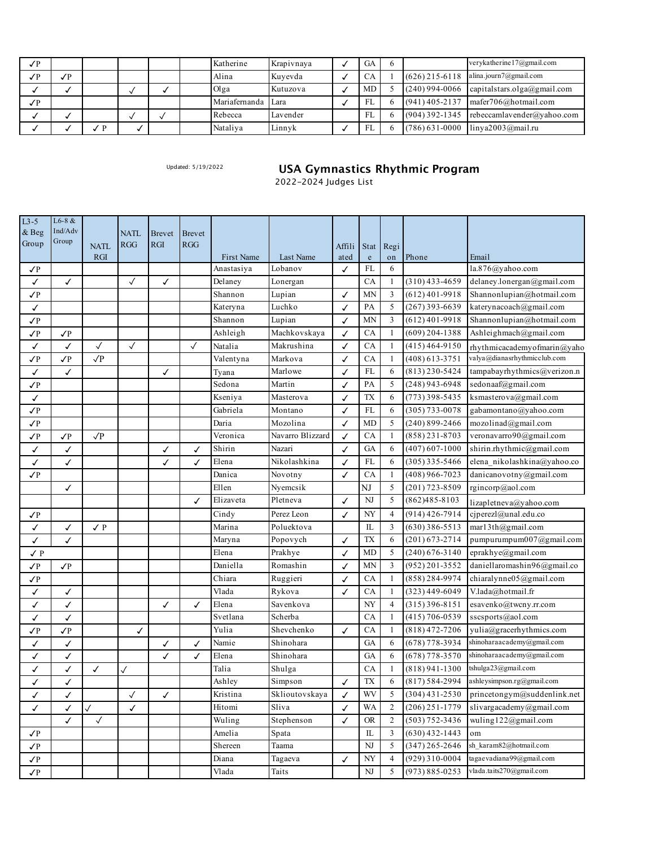| $\sqrt{P}$ |            |   |  | Katherine          | Krapivnaya | GA |  | verykatherine 17@gmail.com                    |
|------------|------------|---|--|--------------------|------------|----|--|-----------------------------------------------|
| $\sqrt{P}$ | $\sqrt{P}$ |   |  | Alina              | Kuyevda    | CA |  | $(626)$ 215-6118 alina.journ7@gmail.com       |
|            |            |   |  | Olga               | Kutuzova   | MD |  | $(240)$ 994-0066 capital stars.olga@gmail.com |
| $\sqrt{P}$ |            |   |  | Mariafernanda Lara |            | FL |  | $(941)$ 405-2137 mafer706@hotmail.com         |
|            |            |   |  | Rebecca            | Lavender   | FL |  | $(904)$ 392-1345 rebeccamlavender@yahoo.com   |
|            |            | D |  | Nataliya           | Linnyk     | FL |  | (786) 631-0000 linya2003@mail.ru              |

## Updated: 5/19/2022 **USA Gymnastics Rhythmic Program**

2022-2024 Judges List

| $L3-5$         | $L6-8 &$         |              |                   |               |               |            |                  |        |                          |                |                    |                              |
|----------------|------------------|--------------|-------------------|---------------|---------------|------------|------------------|--------|--------------------------|----------------|--------------------|------------------------------|
| & Beg          | Ind/Adv<br>Group |              | <b>NATL</b>       | <b>Brevet</b> | <b>Brevet</b> |            |                  |        |                          |                |                    |                              |
| Group          |                  | <b>NATL</b>  | <b>RGG</b>        | <b>RGI</b>    | <b>RGG</b>    |            |                  | Affili | Stat                     | Regi           |                    |                              |
|                |                  | RGI          |                   |               |               | First Name | Last Name        | ated   | $\mathbf e$              | on             | Phone              | Email                        |
| $\sqrt{P}$     |                  |              |                   |               |               | Anastasiya | Lobanov          | ✓      | FL                       | 6              |                    | la.876@yahoo.com             |
| ✓              | ✓                |              | $\checkmark$      | ✓             |               | Delaney    | Lonergan         |        | CA                       | -1             | $(310)$ 433-4659   | delaney.lonergan@gmail.com   |
| $\sqrt{P}$     |                  |              |                   |               |               | Shannon    | Lupian           | ✓      | <b>MN</b>                | 3              | $(612)$ 401-9918   | Shannonlupian@hotmail.com    |
| ✓              |                  |              |                   |               |               | Kateryna   | Luchko           | ✓      | PA                       | 5              | $(267)$ 393-6639   | katerynacoach@gmail.com      |
| $\sqrt{P}$     |                  |              |                   |               |               | Shannon    | Lupian           | ✓      | <b>MN</b>                | 3              | $(612)$ 401-9918   | Shannonlupian@hotmail.com    |
| $\sqrt{P}$     | $\sqrt{P}$       |              |                   |               |               | Ashleigh   | Machkovskaya     | ✓      | CA                       | 1              | $(609)$ 204-1388   | Ashleighmach@gmail.com       |
| ✓              | ✓                | $\checkmark$ | $\checkmark$      |               | $\checkmark$  | Natalia    | Makrushina       | ✓      | CA                       | 1              | $(415)$ 464-9150   | rhythmicacademyofmarin@yaho  |
| $\sqrt{P}$     | $\sqrt{P}$       | $\sqrt{P}$   |                   |               |               | Valentyna  | Markova          | ✓      | CA                       | $\mathbf{1}$   | $(408)$ 613-3751   | valya@dianasrhythmicclub.com |
| ✓              | ✓                |              |                   | ✓             |               | Tyana      | Marlowe          | ✓      | FL                       | 6              | $(813)$ 230-5424   | tampabayrhythmics@verizon.n  |
| $\sqrt{P}$     |                  |              |                   |               |               | Sedona     | Martin           | ✓      | PA                       | 5              | $(248)$ 943-6948   | sedonaaf@gmail.com           |
| ✓              |                  |              |                   |               |               | Kseniya    | Masterova        | ✓      | TX                       | 6              | $(773)$ 398-5435   | ksmasterova@gmail.com        |
| $\sqrt{P}$     |                  |              |                   |               |               | Gabriela   | Montano          | ✓      | FL                       | 6              | $(305)$ 733-0078   | gabamontano@yahoo.com        |
| $\sqrt{P}$     |                  |              |                   |               |               | Daria      | Mozolina         | ✓      | MD                       | 5              | $(240)$ 899-2466   | mozolinad@gmail.com          |
| $\sqrt{P}$     | $\sqrt{P}$       | $\sqrt{P}$   |                   |               |               | Veronica   | Navarro Blizzard | ✓      | CA                       | $\mathbf{1}$   | $(858)$ 231-8703   | veronavarro90@gmail.com      |
| ✓              | ✓                |              |                   | ✓             | ✓             | Shirin     | Nazari           | ✓      | GA                       | 6              | $(407)$ 607-1000   | shirin.rhythmic@gmail.com    |
| ✓              | ✓                |              |                   | ✓             | ✓             | Elena      | Nikolashkina     | ✓      | FL                       | 6              | $(305)$ 335-5466   | elena_nikolashkina@yahoo.co  |
| $\sqrt{P}$     |                  |              |                   |               |               | Danica     | Novotny          | ✓      | CA                       | 1              | $(408)$ 966-7023   | danicanovotny@gmail.com      |
|                | ✓                |              |                   |               |               | Ellen      | Nyemcsik         |        | NJ                       | 5              | $(201)$ 723-8509   | rgincorp@aol.com             |
|                |                  |              |                   |               | ✓             | Elizaveta  | Pletneva         | ✓      | NJ                       | 5              | $(862)485 - 8103$  | lizapletneva@yahoo.com       |
| $\sqrt{P}$     |                  |              |                   |               |               | Cindy      | Perez Leon       | ✓      | NY                       | $\overline{4}$ | $(914)$ 426-7914   | cjperezl@unal.edu.co         |
| ✓              | ✓                | ✓Р           |                   |               |               | Marina     | Poluektova       |        | IL                       | $\overline{3}$ | $(630)$ 386-5513   | mar13th@gmail.com            |
| ✓              | ✓                |              |                   |               |               | Maryna     | Popovych         | ✓      | TX                       | 6              | $(201) 673 - 2714$ | pumpurumpum007@gmail.com     |
| $\checkmark$ P |                  |              |                   |               |               | Elena      | Prakhye          | ✓      | MD                       | 5              | $(240)$ 676-3140   | eprakhye@gmail.com           |
| $\sqrt{P}$     | $\sqrt{P}$       |              |                   |               |               | Daniella   | Romashin         | ✓      | <b>MN</b>                | 3              | $(952)$ 201-3552   | daniellaromashin96@gmail.co  |
| $\sqrt{P}$     |                  |              |                   |               |               | Chiara     | Ruggieri         | ✓      | CA                       | -1             | $(858)$ 284-9974   | chiaralynne05@gmail.com      |
| ✓              | ✓                |              |                   |               |               | Vlada      | Rykova           | ✓      | CA                       | -1             | $(323)$ 449-6049   | V.lada@hotmail.fr            |
| ✓              | ✓                |              |                   | ✓             | ✓             | Elena      | Savenkova        |        | NY                       | $\overline{4}$ | $(315)$ 396-8151   | esavenko@twcny.rr.com        |
| ✓              | ✓                |              |                   |               |               | Svetlana   | Scherba          |        | CA                       | -1             | (415) 706-0539     | sscsports@aol.com            |
| $\sqrt{P}$     | $\sqrt{P}$       |              | ✓                 |               |               | Yulia      | Shevchenko       | ✓      | СA                       | $\mathbf{1}$   | $(818)$ 472-7206   | yulia@gracerhythmics.com     |
| ✓              | ✓                |              |                   | ✓             | ✓             | Namie      | Shinohara        |        | GA                       | 6              | $(678)$ 778-3934   | shinoharaacademy@gmail.com   |
| ✓              | ✓                |              |                   | ✓             | ✓             | Elena      | Shinohara        |        | GA                       | 6              | $(678)$ 778-3570   | shinoharaacademy@gmail.com   |
| ✓              | ✓                | ✓            | $\checkmark$      |               |               | Talia      | Shulga           |        | CA                       | -1             | $(818)$ 941-1300   | tshulga23@gmail.com          |
| ✓              | ✓                |              |                   |               |               | Ashley     | Simpson          | ✓      | TX                       | 6              | $(817) 584 - 2994$ | ashleysimpson.rg@gmail.com   |
|                |                  |              |                   |               |               | Kristina   | Sklioutovskaya   |        | WV                       | 5              | $(304)$ 431-2530   | princetongym@suddenlink.net  |
| ✓              | ✓                |              | $\checkmark$<br>✓ | ✓             |               | Hitomi     | Sliva            | √<br>✓ | <b>WA</b>                | $\overline{2}$ | $(206)$ 251-1779   | slivargacademy@gmail.com     |
| ✓              | ✓                | $\checkmark$ |                   |               |               |            |                  |        | <b>OR</b>                | $\overline{2}$ | $(503) 752 - 3436$ | wuling122@gmail.com          |
|                | ✓                | $\checkmark$ |                   |               |               | Wuling     | Stephenson       | ✓      |                          |                |                    |                              |
| $\sqrt{P}$     |                  |              |                   |               |               | Amelia     | Spata            |        | IL                       | 3              | $(630)$ 432-1443   | om<br>sh_karam82@hotmail.com |
| √Ρ             |                  |              |                   |               |               | Shereen    | Taama            |        | NJ                       | 5              | $(347)$ 265-2646   |                              |
| $\sqrt{P}$     |                  |              |                   |               |               | Diana      | Tagaeva          | ✓      | $\ensuremath{\text{NY}}$ | $\overline{4}$ | $(929)$ 310-0004   | tagaevadiana99@gmail.com     |
| $\sqrt{P}$     |                  |              |                   |               |               | Vlada      | Taits            |        | NJ                       | 5              | $(973) 885 - 0253$ | vlada.taits270@gmail.com     |